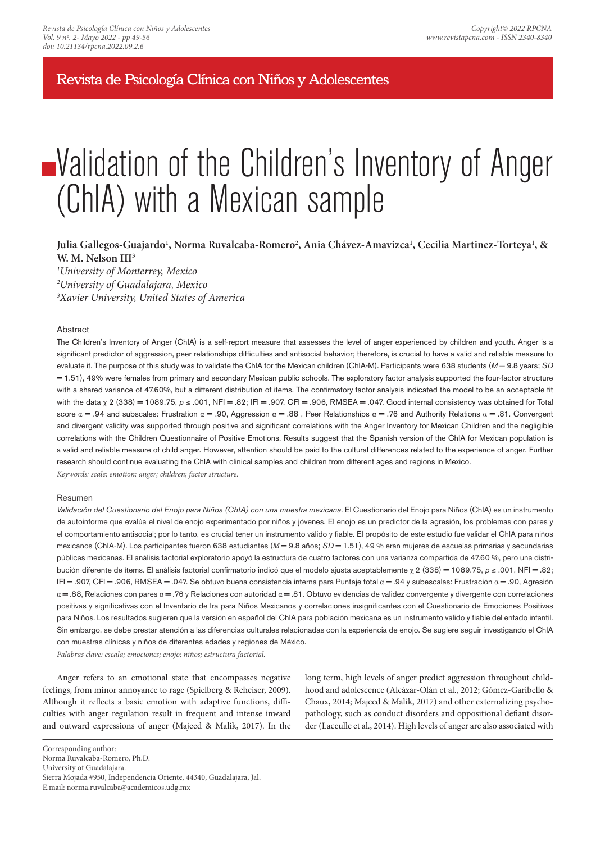Revista de Psicología Clínica con Niños y Adolescentes

# Validation of the Children's Inventory of Anger (ChIA) with a Mexican sample

## Julia Gallegos-Guajardo<sup>1</sup>, Norma Ruvalcaba-Romero<sup>2</sup>, Ania Chávez-Amavizca<sup>1</sup>, Cecilia Martinez-Torteya<sup>1</sup>, & W. M. Nelson III<sup>3</sup>

*1 University of Monterrey, Mexico 2 University of Guadalajara, Mexico 3 Xavier University, United States of America*

### **Abstract**

The Children's Inventory of Anger (ChIA) is a self-report measure that assesses the level of anger experienced by children and youth. Anger is a significant predictor of aggression, peer relationships difficulties and antisocial behavior; therefore, is crucial to have a valid and reliable measure to evaluate it. The purpose of this study was to validate the ChIA for the Mexican children (ChIA-M). Participants were 638 students (*M* = 9.8 years; *SD* = 1.51), 49% were females from primary and secondary Mexican public schools. The exploratory factor analysis supported the four-factor structure with a shared variance of 47.60%, but a different distribution of items. The confirmatory factor analysis indicated the model to be an acceptable fit with the data γ 2 (338) = 1089.75, *p* ≤ .001, NFI = .82; IFI = .907, CFI = .906, RMSEA = .047. Good internal consistency was obtained for Total score  $α = .94$  and subscales: Frustration  $α = .90$ , Aggression  $α = .88$ , Peer Relationships  $α = .76$  and Authority Relations  $α = .81$ . Convergent and divergent validity was supported through positive and significant correlations with the Anger Inventory for Mexican Children and the negligible correlations with the Children Questionnaire of Positive Emotions. Results suggest that the Spanish version of the ChIA for Mexican population is a valid and reliable measure of child anger. However, attention should be paid to the cultural differences related to the experience of anger. Further research should continue evaluating the ChIA with clinical samples and children from different ages and regions in Mexico. *Keywords: scale; emotion; anger; children; factor structure.*

## Resumen

*Validación del Cuestionario del Enojo para Niños (ChIA) con una muestra mexicana. El Cuestionario del Enojo para Niños (ChIA) es un instrumento* de autoinforme que evalúa el nivel de enojo experimentado por niños y jóvenes. El enojo es un predictor de la agresión, los problemas con pares y el comportamiento antisocial; por lo tanto, es crucial tener un instrumento válido y fiable. El propósito de este estudio fue validar el ChIA para niños mexicanos (ChIA-M). Los participantes fueron 638 estudiantes ( $M = 9.8$  años;  $SD = 1.51$ ), 49 % eran mujeres de escuelas primarias y secundarias públicas mexicanas. El análisis factorial exploratorio apoyó la estructura de cuatro factores con una varianza compartida de 47.60 %, pero una distribución diferente de ítems. El análisis factorial confirmatorio indicó que el modelo ajusta aceptablemente χ 2 (338) = 1089.75, *p* ≤ .001, NFI = .82; IFI = .907, CFI = .906, RMSEA = .047. Se obtuvo buena consistencia interna para Puntaje total  $α = .94$  y subescalas: Frustración  $α = .90$ , Agresión  $\alpha = .88$ , Relaciones con pares  $\alpha = .76$  y Relaciones con autoridad  $\alpha = .81$ . Obtuvo evidencias de validez convergente y divergente con correlaciones positivas y significativas con el Inventario de Ira para Niños Mexicanos y correlaciones insignificantes con el Cuestionario de Emociones Positivas para Niños. Los resultados sugieren que la versión en español del ChIA para población mexicana es un instrumento válido y fiable del enfado infantil. Sin embargo, se debe prestar atención a las diferencias culturales relacionadas con la experiencia de enojo. Se sugiere seguir investigando el ChIA con muestras clínicas y niños de diferentes edades y regiones de México.

*Palabras clave: escala; emociones; enojo; niños; estructura factorial.*

Anger refers to an emotional state that encompasses negative feelings, from minor annoyance to rage (Spielberg & Reheiser, 2009). Although it reflects a basic emotion with adaptive functions, difficulties with anger regulation result in frequent and intense inward and outward expressions of anger (Majeed & Malik, 2017). In the

long term, high levels of anger predict aggression throughout childhood and adolescence (Alcázar-Olán et al., 2012; Gómez-Garibello & Chaux, 2014; Majeed & Malik, 2017) and other externalizing psychopathology, such as conduct disorders and oppositional defiant disorder (Laceulle et al., 2014). High levels of anger are also associated with

Corresponding author:

Norma Ruvalcaba-Romero, Ph.D.

University of Guadalajara.

Sierra Mojada #950, Independencia Oriente, 44340, Guadalajara, Jal.

E.mail: norma.ruvalcaba@academicos.udg.mx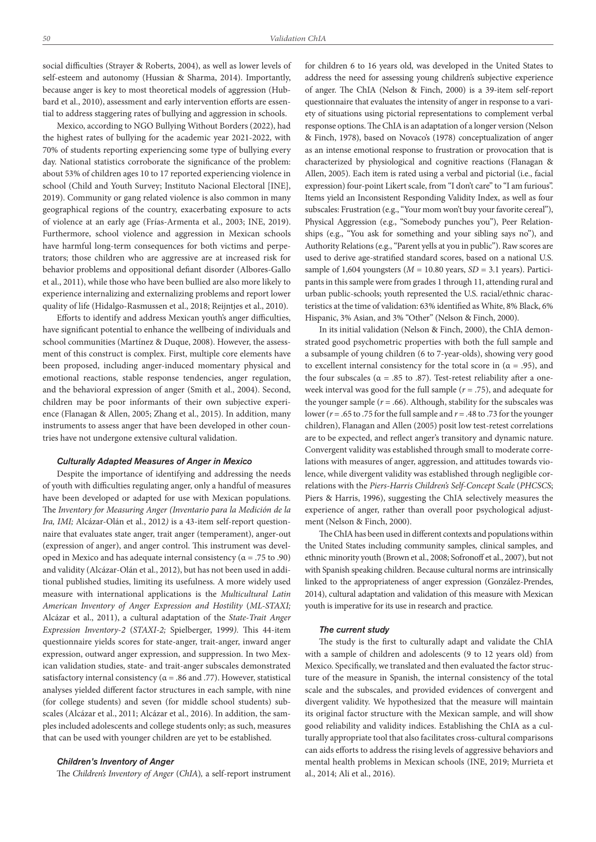social difficulties (Strayer & Roberts, 2004), as well as lower levels of self-esteem and autonomy (Hussian & Sharma, 2014). Importantly, because anger is key to most theoretical models of aggression (Hubbard et al., 2010), assessment and early intervention efforts are essential to address staggering rates of bullying and aggression in schools.

Mexico, according to NGO Bullying Without Borders (2022), had the highest rates of bullying for the academic year 2021-2022, with 70% of students reporting experiencing some type of bullying every day. National statistics corroborate the significance of the problem: about 53% of children ages 10 to 17 reported experiencing violence in school (Child and Youth Survey; Instituto Nacional Electoral [INE], 2019). Community or gang related violence is also common in many geographical regions of the country, exacerbating exposure to acts of violence at an early age (Frías-Armenta et al., 2003; INE, 2019). Furthermore, school violence and aggression in Mexican schools have harmful long-term consequences for both victims and perpetrators; those children who are aggressive are at increased risk for behavior problems and oppositional defiant disorder (Albores-Gallo et al., 2011), while those who have been bullied are also more likely to experience internalizing and externalizing problems and report lower quality of life (Hidalgo-Rasmussen et al., 2018; Reijntjes et al., 2010).

Efforts to identify and address Mexican youth's anger difficulties, have significant potential to enhance the wellbeing of individuals and school communities (Martínez & Duque, 2008). However, the assessment of this construct is complex. First, multiple core elements have been proposed, including anger-induced momentary physical and emotional reactions, stable response tendencies, anger regulation, and the behavioral expression of anger (Smith et al., 2004). Second, children may be poor informants of their own subjective experience (Flanagan & Allen, 2005; Zhang et al., 2015). In addition, many instruments to assess anger that have been developed in other countries have not undergone extensive cultural validation.

#### *Culturally Adapted Measures of Anger in Mexico*

Despite the importance of identifying and addressing the needs of youth with difficulties regulating anger, only a handful of measures have been developed or adapted for use with Mexican populations. The *Inventory for Measuring Anger (Inventario para la Medición de la Ira, IMI;* Alcázar-Olán et al., 2012*)* is a 43-item self-report questionnaire that evaluates state anger, trait anger (temperament), anger-out (expression of anger), and anger control. This instrument was developed in Mexico and has adequate internal consistency ( $\alpha$  = .75 to .90) and validity (Alcázar-Olán et al., 2012), but has not been used in additional published studies, limiting its usefulness. A more widely used measure with international applications is the *Multicultural Latin American Inventory of Anger Expression and Hostility* (*ML-STAXI;* Alcázar et al., 2011), a cultural adaptation of the *State-Trait Anger Expression Inventory-2* (*STAXI-2;* Spielberger, 1999*).* This 44-item questionnaire yields scores for state-anger, trait-anger, inward anger expression, outward anger expression, and suppression. In two Mexican validation studies, state- and trait-anger subscales demonstrated satisfactory internal consistency ( $\alpha$  = .86 and .77). However, statistical analyses yielded different factor structures in each sample, with nine (for college students) and seven (for middle school students) subscales (Alcázar et al., 2011; Alcázar et al., 2016). In addition, the samples included adolescents and college students only; as such, measures that can be used with younger children are yet to be established.

#### *Children's Inventory of Anger*

The *Children's Inventory of Anger* (*ChIA*)*,* a self-report instrument

for children 6 to 16 years old, was developed in the United States to address the need for assessing young children's subjective experience of anger. The ChIA (Nelson & Finch, 2000) is a 39-item self-report questionnaire that evaluates the intensity of anger in response to a variety of situations using pictorial representations to complement verbal response options. The ChIA is an adaptation of a longer version (Nelson & Finch, 1978), based on Novaco's (1978) conceptualization of anger as an intense emotional response to frustration or provocation that is characterized by physiological and cognitive reactions (Flanagan & Allen, 2005). Each item is rated using a verbal and pictorial (i.e., facial expression) four-point Likert scale, from "I don't care" to "I am furious". Items yield an Inconsistent Responding Validity Index, as well as four subscales: Frustration (e.g., "Your mom won't buy your favorite cereal"), Physical Aggression (e.g., "Somebody punches you"), Peer Relationships (e.g., "You ask for something and your sibling says no"), and Authority Relations (e.g., "Parent yells at you in public"). Raw scores are used to derive age-stratified standard scores, based on a national U.S. sample of 1,604 youngsters (*M =* 10.80 years, *SD =* 3.1 years). Participants in this sample were from grades 1 through 11, attending rural and urban public-schools; youth represented the U.S. racial/ethnic characteristics at the time of validation: 63% identified as White, 8% Black, 6% Hispanic, 3% Asian, and 3% "Other" (Nelson & Finch, 2000).

In its initial validation (Nelson & Finch, 2000), the ChIA demonstrated good psychometric properties with both the full sample and a subsample of young children (6 to 7-year-olds), showing very good to excellent internal consistency for the total score in ( $\alpha$  = .95), and the four subscales ( $\alpha$  = .85 to .87). Test-retest reliability after a oneweek interval was good for the full sample (*r* = .75), and adequate for the younger sample  $(r = .66)$ . Although, stability for the subscales was lower ( $r = .65$  to .75 for the full sample and  $r = .48$  to .73 for the younger children), Flanagan and Allen (2005) posit low test-retest correlations are to be expected, and reflect anger's transitory and dynamic nature. Convergent validity was established through small to moderate correlations with measures of anger, aggression, and attitudes towards violence, while divergent validity was established through negligible correlations with the *Piers-Harris Children's Self-Concept Scale* (*PHCSCS*; Piers & Harris, 1996), suggesting the ChIA selectively measures the experience of anger, rather than overall poor psychological adjustment (Nelson & Finch, 2000).

The ChIA has been used in different contexts and populations within the United States including community samples, clinical samples, and ethnic minority youth (Brown et al., 2008; Sofronoff et al., 2007), but not with Spanish speaking children. Because cultural norms are intrinsically linked to the appropriateness of anger expression (González-Prendes, 2014), cultural adaptation and validation of this measure with Mexican youth is imperative for its use in research and practice.

#### *The current study*

The study is the first to culturally adapt and validate the ChIA with a sample of children and adolescents (9 to 12 years old) from Mexico. Specifically, we translated and then evaluated the factor structure of the measure in Spanish, the internal consistency of the total scale and the subscales, and provided evidences of convergent and divergent validity. We hypothesized that the measure will maintain its original factor structure with the Mexican sample, and will show good reliability and validity indices. Establishing the ChIA as a culturally appropriate tool that also facilitates cross-cultural comparisons can aids efforts to address the rising levels of aggressive behaviors and mental health problems in Mexican schools (INE, 2019; Murrieta et al., 2014; Ali et al., 2016).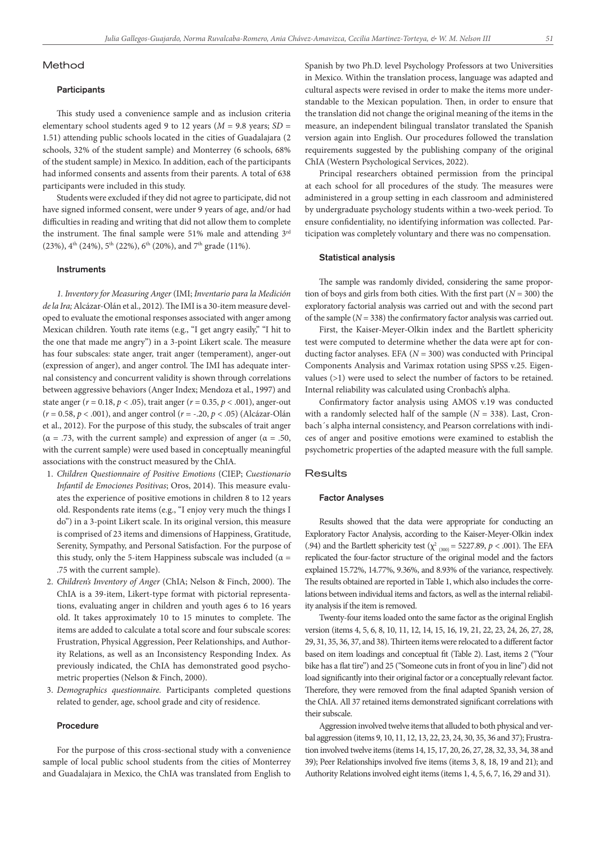#### Method

#### **Participants**

This study used a convenience sample and as inclusion criteria elementary school students aged 9 to 12 years (*M* = 9.8 years; *SD* = 1.51) attending public schools located in the cities of Guadalajara (2 schools, 32% of the student sample) and Monterrey (6 schools, 68% of the student sample) in Mexico. In addition, each of the participants had informed consents and assents from their parents. A total of 638 participants were included in this study.

Students were excluded if they did not agree to participate, did not have signed informed consent, were under 9 years of age, and/or had difficulties in reading and writing that did not allow them to complete the instrument. The final sample were 51% male and attending 3rd (23%), 4<sup>th</sup> (24%), 5<sup>th</sup> (22%), 6<sup>th</sup> (20%), and 7<sup>th</sup> grade (11%).

#### **Instruments**

*1. Inventory for Measuring Anger* (IMI; *Inventario para la Medición de la Ira;* Alcázar-Olán et al., 2012)*.* The IMI is a 30-item measure developed to evaluate the emotional responses associated with anger among Mexican children. Youth rate items (e.g., "I get angry easily," "I hit to the one that made me angry") in a 3-point Likert scale. The measure has four subscales: state anger, trait anger (temperament), anger-out (expression of anger), and anger control. The IMI has adequate internal consistency and concurrent validity is shown through correlations between aggressive behaviors (Anger Index; Mendoza et al., 1997) and state anger (*r* = 0.18, *p* < .05), trait anger (*r* = 0.35, *p* < .001), anger-out (*r* = 0.58, *p* < .001), and anger control (*r* = -.20, *p* < .05) (Alcázar-Olán et al., 2012). For the purpose of this study, the subscales of trait anger (α = .73, with the current sample) and expression of anger (α = .50, with the current sample) were used based in conceptually meaningful associations with the construct measured by the ChIA.

- 1. *Children Questionnaire of Positive Emotions* (CIEP; *Cuestionario Infantil de Emociones Positivas*; Oros, 2014). This measure evaluates the experience of positive emotions in children 8 to 12 years old. Respondents rate items (e.g., "I enjoy very much the things I do") in a 3-point Likert scale. In its original version, this measure is comprised of 23 items and dimensions of Happiness, Gratitude, Serenity, Sympathy, and Personal Satisfaction. For the purpose of this study, only the 5-item Happiness subscale was included ( $\alpha$  = .75 with the current sample).
- 2. *Children's Inventory of Anger* (ChIA; Nelson & Finch, 2000)*.* The ChIA is a 39-item, Likert-type format with pictorial representations, evaluating anger in children and youth ages 6 to 16 years old. It takes approximately 10 to 15 minutes to complete. The items are added to calculate a total score and four subscale scores: Frustration, Physical Aggression, Peer Relationships, and Authority Relations, as well as an Inconsistency Responding Index. As previously indicated, the ChIA has demonstrated good psychometric properties (Nelson & Finch, 2000).
- 3. *Demographics questionnaire.* Participants completed questions related to gender, age, school grade and city of residence.

## Procedure

For the purpose of this cross-sectional study with a convenience sample of local public school students from the cities of Monterrey and Guadalajara in Mexico, the ChIA was translated from English to Spanish by two Ph.D. level Psychology Professors at two Universities in Mexico. Within the translation process, language was adapted and cultural aspects were revised in order to make the items more understandable to the Mexican population. Then, in order to ensure that the translation did not change the original meaning of the items in the measure, an independent bilingual translator translated the Spanish version again into English. Our procedures followed the translation requirements suggested by the publishing company of the original ChIA (Western Psychological Services, 2022).

Principal researchers obtained permission from the principal at each school for all procedures of the study. The measures were administered in a group setting in each classroom and administered by undergraduate psychology students within a two-week period. To ensure confidentiality, no identifying information was collected. Participation was completely voluntary and there was no compensation.

#### Statistical analysis

The sample was randomly divided, considering the same proportion of boys and girls from both cities. With the first part ( $N = 300$ ) the exploratory factorial analysis was carried out and with the second part of the sample (*N* = 338) the confirmatory factor analysis was carried out.

First, the Kaiser-Meyer-Olkin index and the Bartlett sphericity test were computed to determine whether the data were apt for conducting factor analyses. EFA (*N* = 300) was conducted with Principal Components Analysis and Varimax rotation using SPSS v.25. Eigenvalues (>1) were used to select the number of factors to be retained. Internal reliability was calculated using Cronbach's alpha.

Confirmatory factor analysis using AMOS v.19 was conducted with a randomly selected half of the sample (*N* = 338). Last, Cronbach´s alpha internal consistency, and Pearson correlations with indices of anger and positive emotions were examined to establish the psychometric properties of the adapted measure with the full sample.

#### Results

#### Factor Analyses

Results showed that the data were appropriate for conducting an Exploratory Factor Analysis, according to the Kaiser-Meyer-Olkin index (.94) and the Bartlett sphericity test ( $\chi^2_{(300)}$  = 5227.89,  $p < .001$ ). The EFA replicated the four-factor structure of the original model and the factors explained 15.72%, 14.77%, 9.36%, and 8.93% of the variance, respectively. The results obtained are reported in Table 1, which also includes the correlations between individual items and factors, as well as the internal reliability analysis if the item is removed.

Twenty-four items loaded onto the same factor as the original English version (items 4, 5, 6, 8, 10, 11, 12, 14, 15, 16, 19, 21, 22, 23, 24, 26, 27, 28, 29, 31, 35, 36, 37, and 38). Thirteen items were relocated to a different factor based on item loadings and conceptual fit (Table 2). Last, items 2 ("Your bike has a flat tire") and 25 ("Someone cuts in front of you in line") did not load significantly into their original factor or a conceptually relevant factor. Therefore, they were removed from the final adapted Spanish version of the ChIA. All 37 retained items demonstrated significant correlations with their subscale.

Aggression involved twelve items that alluded to both physical and verbal aggression (items 9, 10, 11, 12, 13, 22, 23, 24, 30, 35, 36 and 37); Frustration involved twelve items (items 14, 15, 17, 20, 26, 27, 28, 32, 33, 34, 38 and 39); Peer Relationships involved five items (items 3, 8, 18, 19 and 21); and Authority Relations involved eight items (items 1, 4, 5, 6, 7, 16, 29 and 31).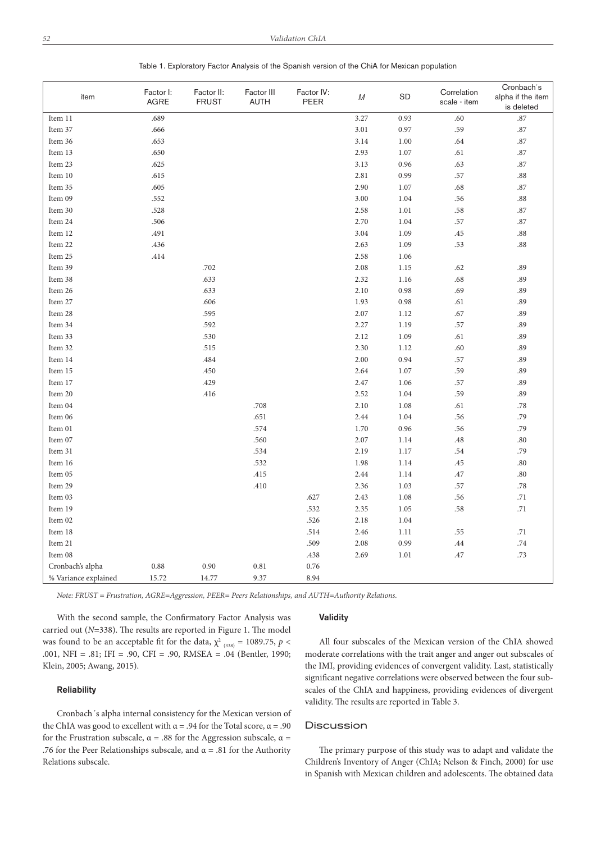| ítem                 | Factor I:<br>$\sf AGRE$ | Factor II:<br><b>FRUST</b> | Factor III<br><b>AUTH</b> | Factor IV:<br>PEER | M    | SD   | Correlation<br>scale - item | Cronbach's<br>alpha if the item<br>is deleted |
|----------------------|-------------------------|----------------------------|---------------------------|--------------------|------|------|-----------------------------|-----------------------------------------------|
| Item 11              | .689                    |                            |                           |                    | 3.27 | 0.93 | .60                         | $.87\,$                                       |
| Item 37              | .666                    |                            |                           |                    | 3.01 | 0.97 | .59                         | $.87\,$                                       |
| Item 36              | .653                    |                            |                           |                    | 3.14 | 1.00 | .64                         | $.87\,$                                       |
| Item 13              | .650                    |                            |                           |                    | 2.93 | 1.07 | .61                         | $.87\,$                                       |
| Item 23              | .625                    |                            |                           |                    | 3.13 | 0.96 | .63                         | $.87\,$                                       |
| Item 10              | .615                    |                            |                           |                    | 2.81 | 0.99 | .57                         | $.88\,$                                       |
| Item $35\,$          | .605                    |                            |                           |                    | 2.90 | 1.07 | .68                         | $.87\,$                                       |
| Item 09              | .552                    |                            |                           |                    | 3.00 | 1.04 | .56                         | $.88\,$                                       |
| Item 30              | .528                    |                            |                           |                    | 2.58 | 1.01 | .58                         | $.87\,$                                       |
| Item 24              | .506                    |                            |                           |                    | 2.70 | 1.04 | .57                         | $.87\,$                                       |
| Item 12              | .491                    |                            |                           |                    | 3.04 | 1.09 | .45                         | $.88\,$                                       |
| Item 22              | .436                    |                            |                           |                    | 2.63 | 1.09 | .53                         | $.88\,$                                       |
| Item 25              | .414                    |                            |                           |                    | 2.58 | 1.06 |                             |                                               |
| Item 39              |                         | .702                       |                           |                    | 2.08 | 1.15 | .62                         | .89                                           |
| Item 38              |                         | .633                       |                           |                    | 2.32 | 1.16 | .68                         | .89                                           |
| Item 26              |                         | .633                       |                           |                    | 2.10 | 0.98 | .69                         | .89                                           |
| Item 27              |                         | .606                       |                           |                    | 1.93 | 0.98 | .61                         | .89                                           |
| Item 28              |                         | .595                       |                           |                    | 2.07 | 1.12 | .67                         | .89                                           |
| Item 34              |                         | .592                       |                           |                    | 2.27 | 1.19 | .57                         | .89                                           |
| Item 33              |                         | .530                       |                           |                    | 2.12 | 1.09 | .61                         | .89                                           |
| Item 32              |                         | .515                       |                           |                    | 2.30 | 1.12 | .60                         | .89                                           |
| Item 14              |                         | .484                       |                           |                    | 2.00 | 0.94 | .57                         | .89                                           |
| Item 15              |                         | .450                       |                           |                    | 2.64 | 1.07 | .59                         | .89                                           |
| Item 17              |                         | .429                       |                           |                    | 2.47 | 1.06 | .57                         | .89                                           |
| Item 20              |                         | .416                       |                           |                    | 2.52 | 1.04 | .59                         | .89                                           |
| Item 04              |                         |                            | .708                      |                    | 2.10 | 1.08 | .61                         | .78                                           |
| Item 06              |                         |                            | .651                      |                    | 2.44 | 1.04 | .56                         | .79                                           |
| Item 01              |                         |                            | .574                      |                    | 1.70 | 0.96 | .56                         | .79                                           |
| Item 07              |                         |                            | .560                      |                    | 2.07 | 1.14 | .48                         | $.80\,$                                       |
| Item 31              |                         |                            | .534                      |                    | 2.19 | 1.17 | .54                         | .79                                           |
| Item 16              |                         |                            | .532                      |                    | 1.98 | 1.14 | .45                         | .80                                           |
| Item 05              |                         |                            | .415                      |                    | 2.44 | 1.14 | .47                         | $.80\,$                                       |
| Item 29              |                         |                            | .410                      |                    | 2.36 | 1.03 | .57                         | $.78\,$                                       |
| Item 03              |                         |                            |                           | .627               | 2.43 | 1.08 | .56                         | .71                                           |
| Item 19              |                         |                            |                           | .532               | 2.35 | 1.05 | .58                         | .71                                           |
| Item 02              |                         |                            |                           | .526               | 2.18 | 1.04 |                             |                                               |
| Item 18              |                         |                            |                           | .514               | 2.46 | 1.11 | .55                         | .71                                           |
| Item $21\,$          |                         |                            |                           | .509               | 2.08 | 0.99 | .44                         | .74                                           |
| Item 08              |                         |                            |                           | .438               | 2.69 | 1.01 | .47                         | .73                                           |
| Cronbach's alpha     | 0.88                    | 0.90                       | 0.81                      | 0.76               |      |      |                             |                                               |
| % Variance explained | 15.72                   | 14.77                      | 9.37                      | 8.94               |      |      |                             |                                               |

Table 1. Exploratory Factor Analysis of the Spanish version of the ChiA for Mexican population

*Note: FRUST = Frustration, AGRE=Aggression, PEER= Peers Relationships, and AUTH=Authority Relations.*

With the second sample, the Confirmatory Factor Analysis was carried out (*N*=338). The results are reported in Figure 1. The model was found to be an acceptable fit for the data,  $\chi^2_{(338)} = 1089.75$ ,  $p <$ .001, NFI = .81; IFI = .90, CFI = .90, RMSEA = .04 (Bentler, 1990; Klein, 2005; Awang, 2015).

#### **Reliability**

Cronbach´s alpha internal consistency for the Mexican version of the ChIA was good to excellent with  $α = .94$  for the Total score,  $α = .90$ for the Frustration subscale,  $\alpha = .88$  for the Aggression subscale,  $\alpha =$ .76 for the Peer Relationships subscale, and  $\alpha = .81$  for the Authority Relations subscale.

## Validity

All four subscales of the Mexican version of the ChIA showed moderate correlations with the trait anger and anger out subscales of the IMI, providing evidences of convergent validity. Last, statistically significant negative correlations were observed between the four subscales of the ChIA and happiness, providing evidences of divergent validity. The results are reported in Table 3.

## **Discussion**

The primary purpose of this study was to adapt and validate the Children's Inventory of Anger (ChIA; Nelson & Finch, 2000) for use in Spanish with Mexican children and adolescents. The obtained data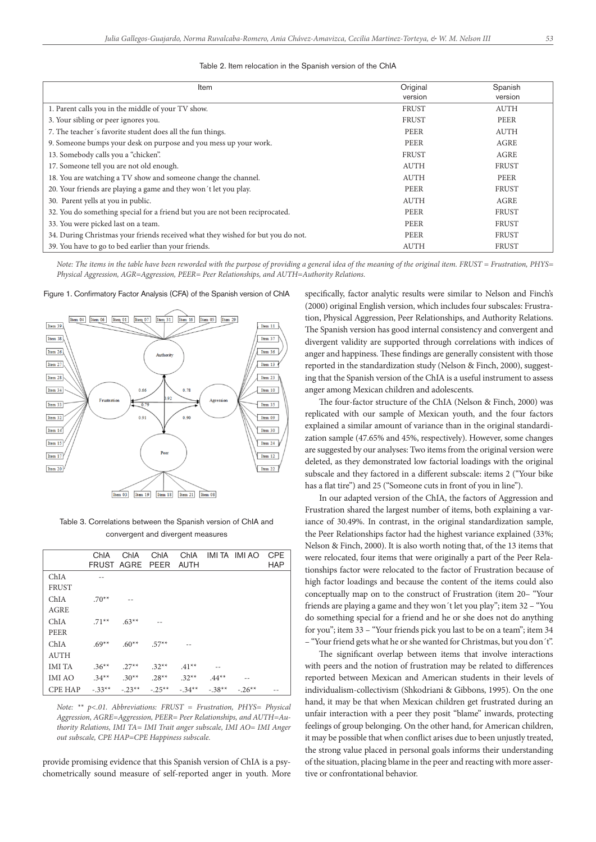| Item                                                                            | Original<br>version | Spanish<br>version |
|---------------------------------------------------------------------------------|---------------------|--------------------|
| 1. Parent calls you in the middle of your TV show.                              | <b>FRUST</b>        | <b>AUTH</b>        |
| 3. Your sibling or peer ignores you.                                            | <b>FRUST</b>        | PEER               |
| 7. The teacher's favorite student does all the fun things.                      | PEER                | <b>AUTH</b>        |
| 9. Someone bumps your desk on purpose and you mess up your work.                | PEER                | AGRE               |
| 13. Somebody calls you a "chicken".                                             | <b>FRUST</b>        | AGRE               |
| 17. Someone tell you are not old enough.                                        | <b>AUTH</b>         | <b>FRUST</b>       |
| 18. You are watching a TV show and someone change the channel.                  | <b>AUTH</b>         | PEER               |
| 20. Your friends are playing a game and they won't let you play.                | PEER                | <b>FRUST</b>       |
| 30. Parent yells at you in public.                                              | <b>AUTH</b>         | AGRE               |
| 32. You do something special for a friend but you are not been reciprocated.    | PEER                | <b>FRUST</b>       |
| 33. You were picked last on a team.                                             | PEER                | <b>FRUST</b>       |
| 34. During Christmas your friends received what they wished for but you do not. | PEER                | FRUST              |
| 39. You have to go to bed earlier than your friends.                            | <b>AUTH</b>         | <b>FRUST</b>       |

*Note: The items in the table have been reworded with the purpose of providing a general idea of the meaning of the original item. FRUST = Frustration, PHYS= Physical Aggression, AGR=Aggression, PEER= Peer Relationships, and AUTH=Authority Relations.*

#### Figure 1. Confirmatory Factor Analysis (CFA) of the Spanish version of ChIA



Table 3. Correlations between the Spanish version of ChIA and convergent and divergent measures

|                | ChIA     | ChIA<br>FRUST AGRE PEER | ChIA                             | AUTH      |          | ChIA IMITA IMI AO CPE | <b>HAP</b> |
|----------------|----------|-------------------------|----------------------------------|-----------|----------|-----------------------|------------|
| ChIA           |          |                         |                                  |           |          |                       |            |
| <b>FRUST</b>   |          |                         |                                  |           |          |                       |            |
| ChIA           | $.70**$  |                         |                                  |           |          |                       |            |
| <b>AGRE</b>    |          |                         |                                  |           |          |                       |            |
| ChIA           | $.71**$  | $.63**$                 |                                  |           |          |                       |            |
| PEER           |          |                         |                                  |           |          |                       |            |
| ChIA           | $.69**$  | $.60**$                 | $.57**$                          |           |          |                       |            |
| <b>AUTH</b>    |          |                         |                                  |           |          |                       |            |
| <b>IMITA</b>   | $.36**$  | $.27**$                 | $.32**$                          | $.41**$   |          |                       |            |
| <b>IMI AO</b>  | $.34**$  |                         | $.30^{**}$ $.28^{**}$ $.32^{**}$ |           | $.44**$  |                       |            |
| <b>CPE HAP</b> | $-.33**$ | $-0.23$ **              | $-25**$                          | $-.34***$ | $-.38**$ | $-.26**$              |            |

*Note: \*\* p<.01. Abbreviations: FRUST = Frustration, PHYS= Physical Aggression, AGRE=Aggression, PEER= Peer Relationships, and AUTH=Authority Relations, IMI TA= IMI Trait anger subscale, IMI AO= IMI Anger out subscale, CPE HAP=CPE Happiness subscale.*

provide promising evidence that this Spanish version of ChIA is a psychometrically sound measure of self-reported anger in youth. More

specifically, factor analytic results were similar to Nelson and Finch's (2000) original English version, which includes four subscales: Frustration, Physical Aggression, Peer Relationships, and Authority Relations. The Spanish version has good internal consistency and convergent and divergent validity are supported through correlations with indices of anger and happiness. These findings are generally consistent with those reported in the standardization study (Nelson & Finch, 2000), suggesting that the Spanish version of the ChIA is a useful instrument to assess anger among Mexican children and adolescents.

The four-factor structure of the ChIA (Nelson & Finch, 2000) was replicated with our sample of Mexican youth, and the four factors explained a similar amount of variance than in the original standardization sample (47.65% and 45%, respectively). However, some changes are suggested by our analyses: Two items from the original version were deleted, as they demonstrated low factorial loadings with the original subscale and they factored in a different subscale: items 2 ("Your bike has a flat tire") and 25 ("Someone cuts in front of you in line").

In our adapted version of the ChIA, the factors of Aggression and Frustration shared the largest number of items, both explaining a variance of 30.49%. In contrast, in the original standardization sample, the Peer Relationships factor had the highest variance explained (33%; Nelson & Finch, 2000). It is also worth noting that, of the 13 items that were relocated, four items that were originally a part of the Peer Relationships factor were relocated to the factor of Frustration because of high factor loadings and because the content of the items could also conceptually map on to the construct of Frustration (item 20– "Your friends are playing a game and they won´t let you play"; item 32 – "You do something special for a friend and he or she does not do anything for you"; item 33 – "Your friends pick you last to be on a team"; item 34 – "Your friend gets what he or she wanted for Christmas, but you don´t".

The significant overlap between items that involve interactions with peers and the notion of frustration may be related to differences reported between Mexican and American students in their levels of individualism-collectivism (Shkodriani & Gibbons, 1995). On the one hand, it may be that when Mexican children get frustrated during an unfair interaction with a peer they posit "blame" inwards, protecting feelings of group belonging. On the other hand, for American children, it may be possible that when conflict arises due to been unjustly treated, the strong value placed in personal goals informs their understanding of the situation, placing blame in the peer and reacting with more assertive or confrontational behavior.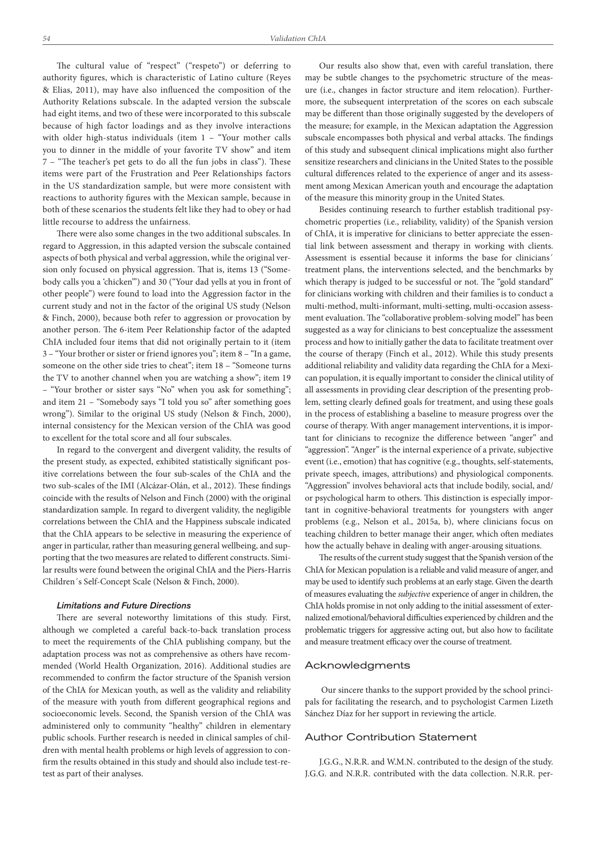The cultural value of "respect" ("respeto") or deferring to authority figures, which is characteristic of Latino culture (Reyes & Elias, 2011), may have also influenced the composition of the Authority Relations subscale. In the adapted version the subscale had eight items, and two of these were incorporated to this subscale because of high factor loadings and as they involve interactions with older high-status individuals (item 1 – "Your mother calls you to dinner in the middle of your favorite TV show" and item 7 – "The teacher's pet gets to do all the fun jobs in class"). These items were part of the Frustration and Peer Relationships factors in the US standardization sample, but were more consistent with reactions to authority figures with the Mexican sample, because in both of these scenarios the students felt like they had to obey or had little recourse to address the unfairness.

There were also some changes in the two additional subscales. In regard to Aggression, in this adapted version the subscale contained aspects of both physical and verbal aggression, while the original version only focused on physical aggression. That is, items 13 ("Somebody calls you a 'chicken'") and 30 ("Your dad yells at you in front of other people") were found to load into the Aggression factor in the current study and not in the factor of the original US study (Nelson & Finch, 2000), because both refer to aggression or provocation by another person. The 6-item Peer Relationship factor of the adapted ChIA included four items that did not originally pertain to it (item 3 – "Your brother or sister or friend ignores you"; item 8 – "In a game, someone on the other side tries to cheat"; item 18 – "Someone turns the TV to another channel when you are watching a show"; item 19 – "Your brother or sister says "No" when you ask for something"; and item 21 – "Somebody says "I told you so" after something goes wrong"). Similar to the original US study (Nelson & Finch, 2000), internal consistency for the Mexican version of the ChIA was good to excellent for the total score and all four subscales.

In regard to the convergent and divergent validity, the results of the present study, as expected, exhibited statistically significant positive correlations between the four sub-scales of the ChIA and the two sub-scales of the IMI (Alcázar-Olán, et al., 2012). These findings coincide with the results of Nelson and Finch (2000) with the original standardization sample. In regard to divergent validity, the negligible correlations between the ChIA and the Happiness subscale indicated that the ChIA appears to be selective in measuring the experience of anger in particular, rather than measuring general wellbeing, and supporting that the two measures are related to different constructs. Similar results were found between the original ChIA and the Piers-Harris Children´s Self-Concept Scale (Nelson & Finch, 2000).

#### *Limitations and Future Directions*

There are several noteworthy limitations of this study. First, although we completed a careful back-to-back translation process to meet the requirements of the ChIA publishing company, but the adaptation process was not as comprehensive as others have recommended (World Health Organization, 2016). Additional studies are recommended to confirm the factor structure of the Spanish version of the ChIA for Mexican youth, as well as the validity and reliability of the measure with youth from different geographical regions and socioeconomic levels. Second, the Spanish version of the ChIA was administered only to community "healthy" children in elementary public schools. Further research is needed in clinical samples of children with mental health problems or high levels of aggression to confirm the results obtained in this study and should also include test-retest as part of their analyses.

Our results also show that, even with careful translation, there may be subtle changes to the psychometric structure of the measure (i.e., changes in factor structure and item relocation). Furthermore, the subsequent interpretation of the scores on each subscale may be different than those originally suggested by the developers of the measure; for example, in the Mexican adaptation the Aggression subscale encompasses both physical and verbal attacks. The findings of this study and subsequent clinical implications might also further sensitize researchers and clinicians in the United States to the possible cultural differences related to the experience of anger and its assessment among Mexican American youth and encourage the adaptation of the measure this minority group in the United States.

Besides continuing research to further establish traditional psychometric properties (i.e., reliability, validity) of the Spanish version of ChIA, it is imperative for clinicians to better appreciate the essential link between assessment and therapy in working with clients. Assessment is essential because it informs the base for clinicians´ treatment plans, the interventions selected, and the benchmarks by which therapy is judged to be successful or not. The "gold standard" for clinicians working with children and their families is to conduct a multi-method, multi-informant, multi-setting, multi-occasion assessment evaluation. The "collaborative problem-solving model" has been suggested as a way for clinicians to best conceptualize the assessment process and how to initially gather the data to facilitate treatment over the course of therapy (Finch et al., 2012). While this study presents additional reliability and validity data regarding the ChIA for a Mexican population, it is equally important to consider the clinical utility of all assessments in providing clear description of the presenting problem, setting clearly defined goals for treatment, and using these goals in the process of establishing a baseline to measure progress over the course of therapy. With anger management interventions, it is important for clinicians to recognize the difference between "anger" and "aggression". "Anger" is the internal experience of a private, subjective event (i.e., emotion) that has cognitive (e.g., thoughts, self-statements, private speech, images, attributions) and physiological components. "Aggression" involves behavioral acts that include bodily, social, and/ or psychological harm to others. This distinction is especially important in cognitive-behavioral treatments for youngsters with anger problems (e.g., Nelson et al., 2015a, b), where clinicians focus on teaching children to better manage their anger, which often mediates how the actually behave in dealing with anger-arousing situations.

The results of the current study suggest that the Spanish version of the ChIA for Mexican population is a reliable and valid measure of anger, and may be used to identify such problems at an early stage. Given the dearth of measures evaluating the *subjective* experience of anger in children, the ChIA holds promise in not only adding to the initial assessment of externalized emotional/behavioral difficulties experienced by children and the problematic triggers for aggressive acting out, but also how to facilitate and measure treatment efficacy over the course of treatment.

## Acknowledgments

 Our sincere thanks to the support provided by the school principals for facilitating the research, and to psychologist Carmen Lizeth Sánchez Díaz for her support in reviewing the article.

#### Author Contribution Statement

J.G.G., N.R.R. and W.M.N. contributed to the design of the study. J.G.G. and N.R.R. contributed with the data collection. N.R.R. per-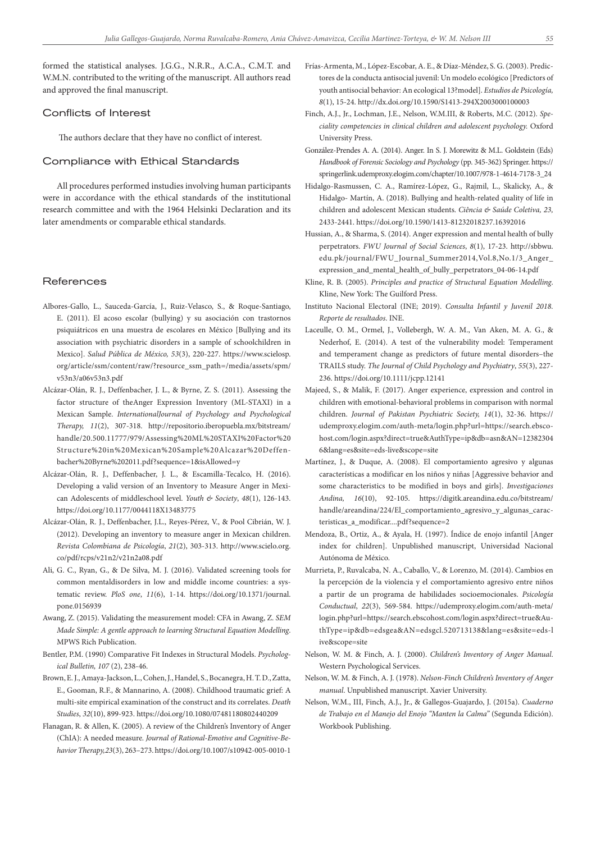formed the statistical analyses. J.G.G., N.R.R., A.C.A., C.M.T. and W.M.N. contributed to the writing of the manuscript. All authors read and approved the final manuscript.

## Conflicts of Interest

The authors declare that they have no conflict of interest.

## Compliance with Ethical Standards

All procedures performed instudies involving human participants were in accordance with the ethical standards of the institutional research committee and with the 1964 Helsinki Declaration and its later amendments or comparable ethical standards.

## References

- Albores-Gallo, L., Sauceda-García, J., Ruiz-Velasco, S., & Roque-Santiago, E. (2011). El acoso escolar (bullying) y su asociación con trastornos psiquiátricos en una muestra de escolares en México [Bullying and its association with psychiatric disorders in a sample of schoolchildren in Mexico]. *Salud Pública de México, 53*(3), 220-227. https://www.scielosp. org/article/ssm/content/raw/?resource\_ssm\_path=/media/assets/spm/ v53n3/a06v53n3.pdf
- Alcázar-Olán, R. J., Deffenbacher, J. L., & Byrne, Z. S. (2011). Assessing the factor structure of theAnger Expression Inventory (ML-STAXI) in a Mexican Sample. *InternationalJournal of Psychology and Psychological Therapy, 11*(2), 307-318. http://repositorio.iberopuebla.mx/bitstream/ handle/20.500.11777/979/Assessing%20ML%20STAXI%20Factor%20 Structure%20in%20Mexican%20Sample%20Alcazar%20Deffenbacher%20Byrne%202011.pdf?sequence=1&isAllowed=y
- Alcázar-Olán, R. J., Deffenbacher, J. L., & Escamilla-Tecalco, H. (2016). Developing a valid version of an Inventory to Measure Anger in Mexican Adolescents of middleschool level. *Youth & Society*, *48*(1), 126-143. https://doi.org/10.1177/0044118X13483775
- Alcázar-Olán, R. J., Deffenbacher, J.L., Reyes-Pérez, V., & Pool Cibrián, W. J. (2012). Developing an inventory to measure anger in Mexican children. *Revista Colombiana de Psicología*, *21*(2), 303-313. http://www.scielo.org. co/pdf/rcps/v21n2/v21n2a08.pdf
- Ali, G. C., Ryan, G., & De Silva, M. J. (2016). Validated screening tools for common mentaldisorders in low and middle income countries: a systematic review. *PloS one*, *11*(6), 1-14. https://doi.org/10.1371/journal. pone.0156939
- Awang, Z. (2015). Validating the measurement model: CFA in Awang, Z. *SEM Made Simple: A gentle approach to learning Structural Equation Modelling*. MPWS Rich Publication.
- Bentler, P.M. (1990) Comparative Fit Indexes in Structural Models. *Psychological Bulletin, 107* (2), 238-46.
- Brown, E. J., Amaya-Jackson, L., Cohen, J., Handel, S., Bocanegra, H. T. D., Zatta, E., Gooman, R.F., & Mannarino, A. (2008). Childhood traumatic grief: A multi-site empirical examination of the construct and its correlates. *Death Studies*, *32*(10), 899-923. https://doi.org/10.1080/07481180802440209
- Flanagan, R. & Allen, K. (2005). A review of the Children's Inventory of Anger (ChIA): A needed measure. *Journal of Rational-Emotive and Cognitive-Behavior Therapy,23*(3), 263–273. https://doi.org/10.1007/s10942-005-0010-1
- Frías-Armenta, M., López-Escobar, A. E., & Díaz-Méndez, S. G. (2003). Predictores de la conducta antisocial juvenil: Un modelo ecológico [Predictors of youth antisocial behavior: An ecological 13?model]. *Estudios de Psicología, 8*(1), 15-24. http://dx.doi.org/10.1590/S1413-294X2003000100003
- Finch, A.J., Jr., Lochman, J.E., Nelson, W.M.III, & Roberts, M.C. (2012). *Speciality competencies in clinical children and adolescent psychology.* Oxford University Press.
- González-Prendes A. A. (2014). Anger. In S. J. Morewitz & M.L. Goldstein (Eds) *Handbook of Forensic Sociology and Psychology* (pp. 345-362) Springer. https:// springerlink.udemproxy.elogim.com/chapter/10.1007/978-1-4614-7178-3\_24
- Hidalgo-Rasmussen, C. A., Ramírez-López, G., Rajmil, L., Skalicky, A., & Hidalgo- Martín, A. (2018). Bullying and health-related quality of life in children and adolescent Mexican students. *Ciência & Saúde Coletiva, 23,* 2433-2441. https://doi.org/10.1590/1413-81232018237.16392016
- Hussian, A., & Sharma, S. (2014). Anger expression and mental health of bully perpetrators. *FWU Journal of Social Sciences*, *8*(1), 17-23. http://sbbwu. edu.pk/journal/FWU\_Journal\_Summer2014,Vol.8,No.1/3\_Anger\_ expression\_and\_mental\_health\_of\_bully\_perpetrators\_04-06-14.pdf
- Kline, R. B. (2005). *Principles and practice of Structural Equation Modelling*. Kline, New York: The Guilford Press.
- Instituto Nacional Electoral (INE; 2019). *Consulta Infantil y Juvenil 2018. Reporte de resultados*. INE.
- Laceulle, O. M., Ormel, J., Vollebergh, W. A. M., Van Aken, M. A. G., & Nederhof, E. (2014). A test of the vulnerability model: Temperament and temperament change as predictors of future mental disorders–the TRAILS study. *The Journal of Child Psychology and Psychiatry*, *55*(3), 227- 236. https://doi.org/10.1111/jcpp.12141
- Majeed, S., & Malik, F. (2017). Anger experience, expression and control in children with emotional-behavioral problems in comparison with normal children. *Journal of Pakistan Psychiatric Society, 14*(1), 32-36. https:// udemproxy.elogim.com/auth-meta/login.php?url=https://search.ebscohost.com/login.aspx?direct=true&AuthType=ip&db=asn&AN=12382304 6&lang=es&site=eds-live&scope=site
- Martínez, J., & Duque, A. (2008). El comportamiento agresivo y algunas características a modificar en los niños y niñas [Aggressive behavior and some characteristics to be modified in boys and girls]. *Investigaciones Andina, 16*(10), 92-105. https://digitk.areandina.edu.co/bitstream/ handle/areandina/224/El\_comportamiento\_agresivo\_y\_algunas\_caracteristicas\_a\_modificar....pdf?sequence=2
- Mendoza, B., Ortiz, A., & Ayala, H. (1997). Índice de enojo infantil [Anger index for children]. Unpublished manuscript, Universidad Nacional Autónoma de México.
- Murrieta, P., Ruvalcaba, N. A., Caballo, V., & Lorenzo, M. (2014). Cambios en la percepción de la violencia y el comportamiento agresivo entre niños a partir de un programa de habilidades socioemocionales. *Psicología Conductual*, *22*(3), 569-584. https://udemproxy.elogim.com/auth-meta/ login.php?url=https://search.ebscohost.com/login.aspx?direct=true&AuthType=ip&db=edsgea&AN=edsgcl.520713138&lang=es&site=eds-l ive&scope=site
- Nelson, W. M. & Finch, A. J. (2000). *Children's Inventory of Anger Manual*. Western Psychological Services.
- Nelson, W. M. & Finch, A. J. (1978). *Nelson-Finch Children's Inventory of Anger manual*. Unpublished manuscript. Xavier University.
- Nelson, W.M., III, Finch, A.J., Jr., & Gallegos-Guajardo, J. (2015a). *Cuaderno de Trabajo en el Manejo del Enojo "Manten la Calma"* (Segunda Edición). Workbook Publishing.